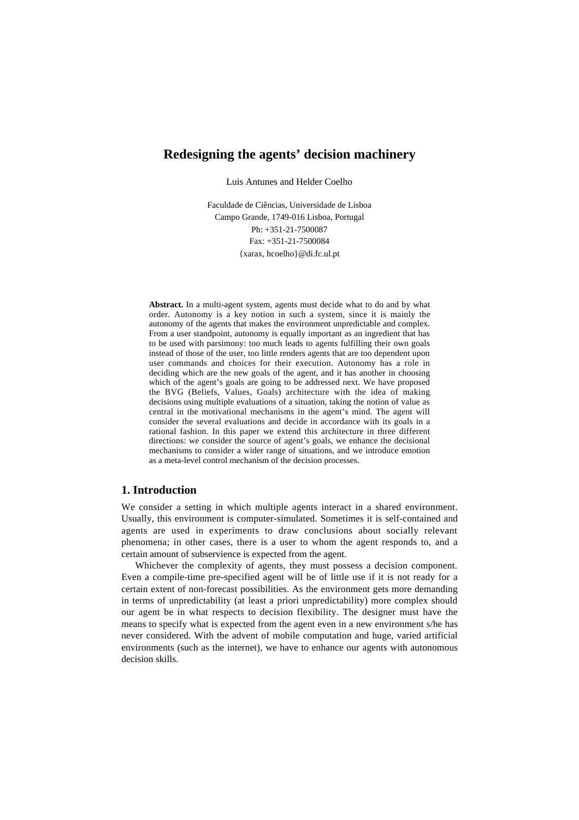# **Redesigning the agents' decision machinery**

Luis Antunes and Helder Coelho

Faculdade de Ciências, Universidade de Lisboa Campo Grande, 1749-016 Lisboa, Portugal Ph: +351-21-7500087 Fax: +351-21-7500084 {xarax, hcoelho}@di.fc.ul.pt

**Abstract.** In a multi-agent system, agents must decide what to do and by what order. Autonomy is a key notion in such a system, since it is mainly the autonomy of the agents that makes the environment unpredictable and complex. From a user standpoint, autonomy is equally important as an ingredient that has to be used with parsimony: too much leads to agents fulfilling their own goals instead of those of the user, too little renders agents that are too dependent upon user commands and choices for their execution. Autonomy has a role in deciding which are the new goals of the agent, and it has another in choosing which of the agent's goals are going to be addressed next. We have proposed the BVG (Beliefs, Values, Goals) architecture with the idea of making decisions using multiple evaluations of a situation, taking the notion of value as central in the motivational mechanisms in the agent's mind. The agent will consider the several evaluations and decide in accordance with its goals in a rational fashion. In this paper we extend this architecture in three different directions: we consider the source of agent's goals, we enhance the decisional mechanisms to consider a wider range of situations, and we introduce emotion as a meta-level control mechanism of the decision processes.

# **1. Introduction**

We consider a setting in which multiple agents interact in a shared environment. Usually, this environment is computer-simulated. Sometimes it is self-contained and agents are used in experiments to draw conclusions about socially relevant phenomena; in other cases, there is a user to whom the agent responds to, and a certain amount of subservience is expected from the agent.

Whichever the complexity of agents, they must possess a decision component. Even a compile-time pre-specified agent will be of little use if it is not ready for a certain extent of non-forecast possibilities. As the environment gets more demanding in terms of unpredictability (at least a priori unpredictability) more complex should our agent be in what respects to decision flexibility. The designer must have the means to specify what is expected from the agent even in a new environment s/he has never considered. With the advent of mobile computation and huge, varied artificial environments (such as the internet), we have to enhance our agents with autonomous decision skills.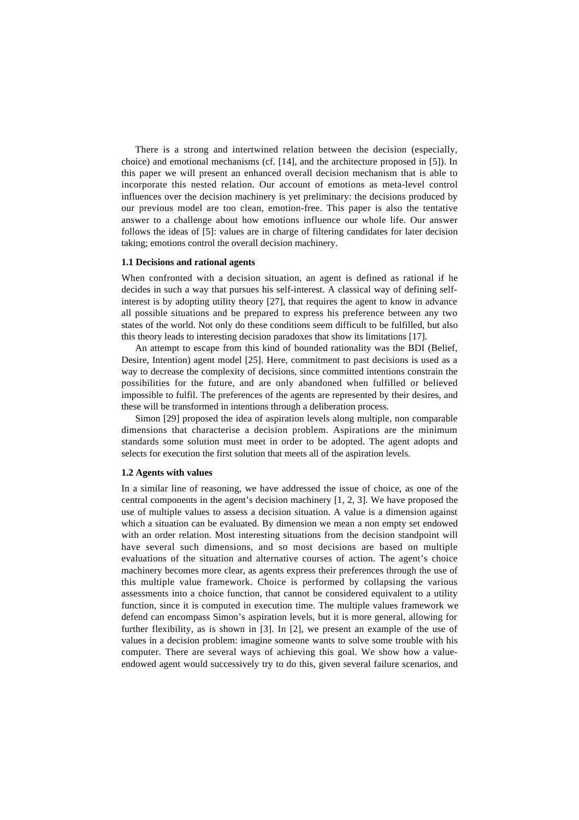There is a strong and intertwined relation between the decision (especially, choice) and emotional mechanisms (cf. [14], and the architecture proposed in [5]). In this paper we will present an enhanced overall decision mechanism that is able to incorporate this nested relation. Our account of emotions as meta-level control influences over the decision machinery is yet preliminary: the decisions produced by our previous model are too clean, emotion-free. This paper is also the tentative answer to a challenge about how emotions influence our whole life. Our answer follows the ideas of [5]: values are in charge of filtering candidates for later decision taking; emotions control the overall decision machinery.

### **1.1 Decisions and rational agents**

When confronted with a decision situation, an agent is defined as rational if he decides in such a way that pursues his self-interest. A classical way of defining selfinterest is by adopting utility theory [27], that requires the agent to know in advance all possible situations and be prepared to express his preference between any two states of the world. Not only do these conditions seem difficult to be fulfilled, but also this theory leads to interesting decision paradoxes that show its limitations [17].

An attempt to escape from this kind of bounded rationality was the BDI (Belief, Desire, Intention) agent model [25]. Here, commitment to past decisions is used as a way to decrease the complexity of decisions, since committed intentions constrain the possibilities for the future, and are only abandoned when fulfilled or believed impossible to fulfil. The preferences of the agents are represented by their desires, and these will be transformed in intentions through a deliberation process.

Simon [29] proposed the idea of aspiration levels along multiple, non comparable dimensions that characterise a decision problem. Aspirations are the minimum standards some solution must meet in order to be adopted. The agent adopts and selects for execution the first solution that meets all of the aspiration levels.

### **1.2 Agents with values**

In a similar line of reasoning, we have addressed the issue of choice, as one of the central components in the agent's decision machinery [1, 2, 3]. We have proposed the use of multiple values to assess a decision situation. A value is a dimension against which a situation can be evaluated. By dimension we mean a non empty set endowed with an order relation. Most interesting situations from the decision standpoint will have several such dimensions, and so most decisions are based on multiple evaluations of the situation and alternative courses of action. The agent's choice machinery becomes more clear, as agents express their preferences through the use of this multiple value framework. Choice is performed by collapsing the various assessments into a choice function, that cannot be considered equivalent to a utility function, since it is computed in execution time. The multiple values framework we defend can encompass Simon's aspiration levels, but it is more general, allowing for further flexibility, as is shown in [3]. In [2], we present an example of the use of values in a decision problem: imagine someone wants to solve some trouble with his computer. There are several ways of achieving this goal. We show how a valueendowed agent would successively try to do this, given several failure scenarios, and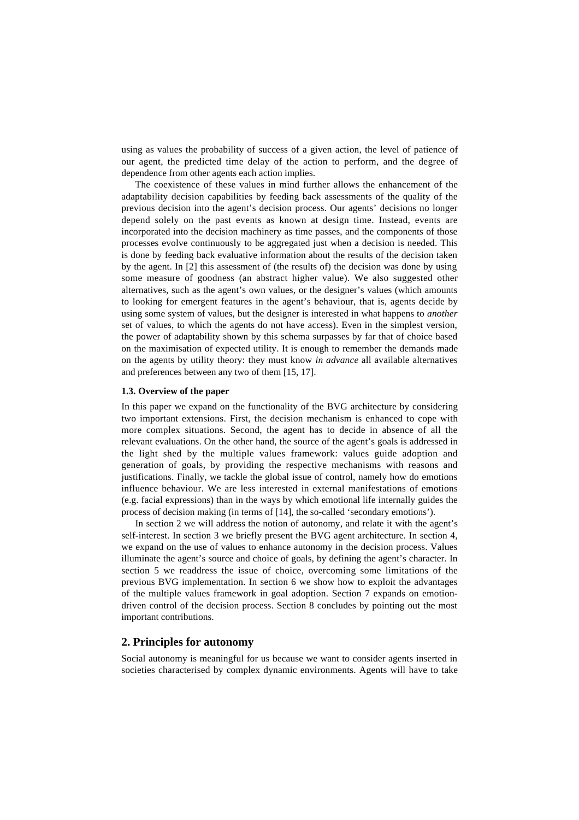using as values the probability of success of a given action, the level of patience of our agent, the predicted time delay of the action to perform, and the degree of dependence from other agents each action implies.

The coexistence of these values in mind further allows the enhancement of the adaptability decision capabilities by feeding back assessments of the quality of the previous decision into the agent's decision process. Our agents' decisions no longer depend solely on the past events as known at design time. Instead, events are incorporated into the decision machinery as time passes, and the components of those processes evolve continuously to be aggregated just when a decision is needed. This is done by feeding back evaluative information about the results of the decision taken by the agent. In [2] this assessment of (the results of) the decision was done by using some measure of goodness (an abstract higher value). We also suggested other alternatives, such as the agent's own values, or the designer's values (which amounts to looking for emergent features in the agent's behaviour, that is, agents decide by using some system of values, but the designer is interested in what happens to *another* set of values, to which the agents do not have access). Even in the simplest version, the power of adaptability shown by this schema surpasses by far that of choice based on the maximisation of expected utility. It is enough to remember the demands made on the agents by utility theory: they must know *in advance* all available alternatives and preferences between any two of them [15, 17].

### **1.3. Overview of the paper**

In this paper we expand on the functionality of the BVG architecture by considering two important extensions. First, the decision mechanism is enhanced to cope with more complex situations. Second, the agent has to decide in absence of all the relevant evaluations. On the other hand, the source of the agent's goals is addressed in the light shed by the multiple values framework: values guide adoption and generation of goals, by providing the respective mechanisms with reasons and justifications. Finally, we tackle the global issue of control, namely how do emotions influence behaviour. We are less interested in external manifestations of emotions (e.g. facial expressions) than in the ways by which emotional life internally guides the process of decision making (in terms of [14], the so-called 'secondary emotions').

In section 2 we will address the notion of autonomy, and relate it with the agent's self-interest. In section 3 we briefly present the BVG agent architecture. In section 4, we expand on the use of values to enhance autonomy in the decision process. Values illuminate the agent's source and choice of goals, by defining the agent's character. In section 5 we readdress the issue of choice, overcoming some limitations of the previous BVG implementation. In section 6 we show how to exploit the advantages of the multiple values framework in goal adoption. Section 7 expands on emotiondriven control of the decision process. Section 8 concludes by pointing out the most important contributions.

# **2. Principles for autonomy**

Social autonomy is meaningful for us because we want to consider agents inserted in societies characterised by complex dynamic environments. Agents will have to take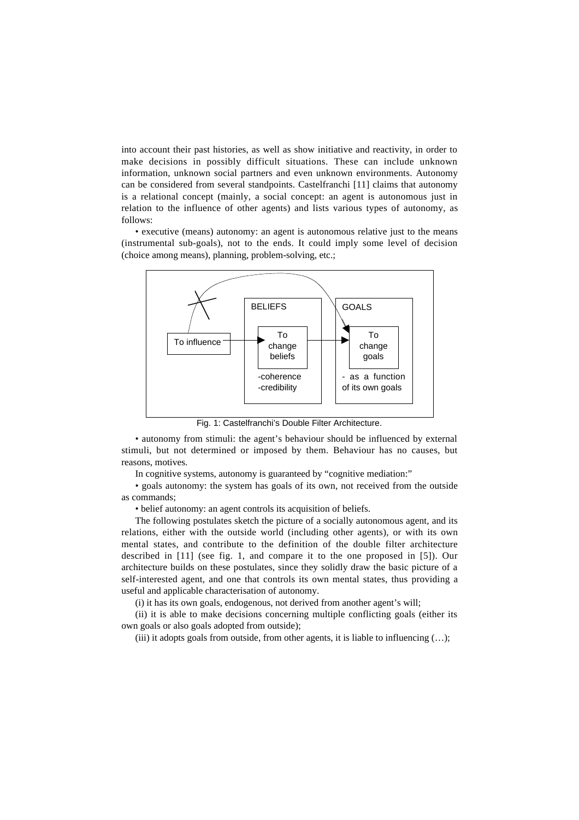into account their past histories, as well as show initiative and reactivity, in order to make decisions in possibly difficult situations. These can include unknown information, unknown social partners and even unknown environments. Autonomy can be considered from several standpoints. Castelfranchi [11] claims that autonomy is a relational concept (mainly, a social concept: an agent is autonomous just in relation to the influence of other agents) and lists various types of autonomy, as follows:

• executive (means) autonomy: an agent is autonomous relative just to the means (instrumental sub-goals), not to the ends. It could imply some level of decision (choice among means), planning, problem-solving, etc.;



Fig. 1: Castelfranchi's Double Filter Architecture.

• autonomy from stimuli: the agent's behaviour should be influenced by external stimuli, but not determined or imposed by them. Behaviour has no causes, but reasons, motives.

In cognitive systems, autonomy is guaranteed by "cognitive mediation:"

• goals autonomy: the system has goals of its own, not received from the outside as commands;

• belief autonomy: an agent controls its acquisition of beliefs.

The following postulates sketch the picture of a socially autonomous agent, and its relations, either with the outside world (including other agents), or with its own mental states, and contribute to the definition of the double filter architecture described in [11] (see fig. 1, and compare it to the one proposed in [5]). Our architecture builds on these postulates, since they solidly draw the basic picture of a self-interested agent, and one that controls its own mental states, thus providing a useful and applicable characterisation of autonomy.

(i) it has its own goals, endogenous, not derived from another agent's will;

(ii) it is able to make decisions concerning multiple conflicting goals (either its own goals or also goals adopted from outside);

(iii) it adopts goals from outside, from other agents, it is liable to influencing  $(...);$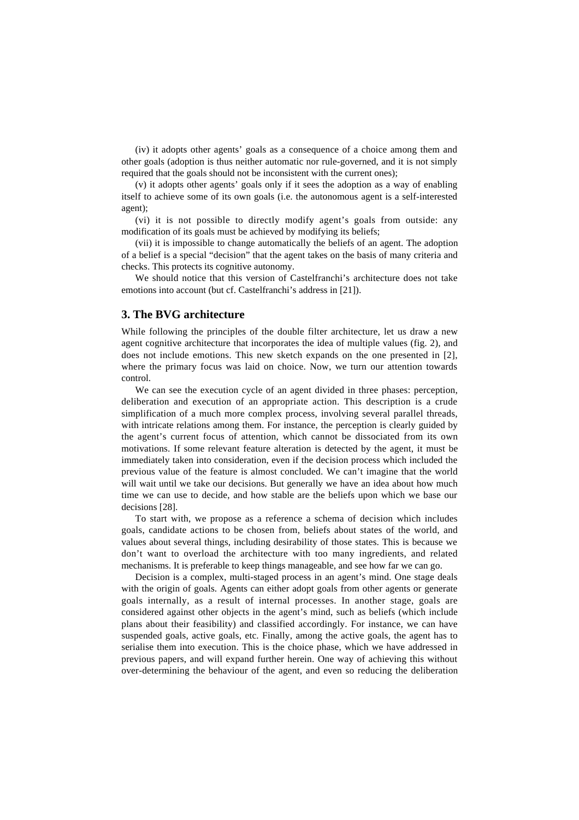(iv) it adopts other agents' goals as a consequence of a choice among them and other goals (adoption is thus neither automatic nor rule-governed, and it is not simply required that the goals should not be inconsistent with the current ones);

(v) it adopts other agents' goals only if it sees the adoption as a way of enabling itself to achieve some of its own goals (i.e. the autonomous agent is a self-interested agent);

(vi) it is not possible to directly modify agent's goals from outside: any modification of its goals must be achieved by modifying its beliefs;

(vii) it is impossible to change automatically the beliefs of an agent. The adoption of a belief is a special "decision" that the agent takes on the basis of many criteria and checks. This protects its cognitive autonomy.

We should notice that this version of Castelfranchi's architecture does not take emotions into account (but cf. Castelfranchi's address in [21]).

# **3. The BVG architecture**

While following the principles of the double filter architecture, let us draw a new agent cognitive architecture that incorporates the idea of multiple values (fig. 2), and does not include emotions. This new sketch expands on the one presented in [2], where the primary focus was laid on choice. Now, we turn our attention towards control.

We can see the execution cycle of an agent divided in three phases: perception, deliberation and execution of an appropriate action. This description is a crude simplification of a much more complex process, involving several parallel threads, with intricate relations among them. For instance, the perception is clearly guided by the agent's current focus of attention, which cannot be dissociated from its own motivations. If some relevant feature alteration is detected by the agent, it must be immediately taken into consideration, even if the decision process which included the previous value of the feature is almost concluded. We can't imagine that the world will wait until we take our decisions. But generally we have an idea about how much time we can use to decide, and how stable are the beliefs upon which we base our decisions [28].

To start with, we propose as a reference a schema of decision which includes goals, candidate actions to be chosen from, beliefs about states of the world, and values about several things, including desirability of those states. This is because we don't want to overload the architecture with too many ingredients, and related mechanisms. It is preferable to keep things manageable, and see how far we can go.

Decision is a complex, multi-staged process in an agent's mind. One stage deals with the origin of goals. Agents can either adopt goals from other agents or generate goals internally, as a result of internal processes. In another stage, goals are considered against other objects in the agent's mind, such as beliefs (which include plans about their feasibility) and classified accordingly. For instance, we can have suspended goals, active goals, etc. Finally, among the active goals, the agent has to serialise them into execution. This is the choice phase, which we have addressed in previous papers, and will expand further herein. One way of achieving this without over-determining the behaviour of the agent, and even so reducing the deliberation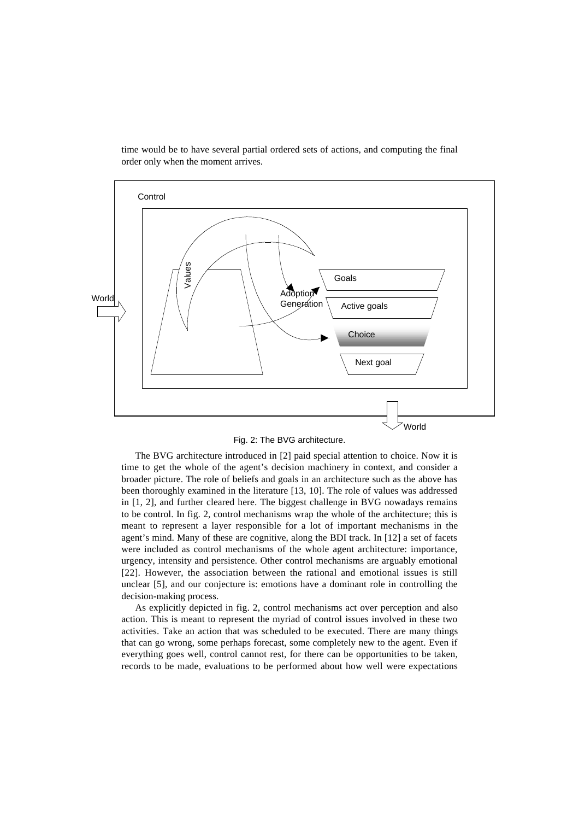

time would be to have several partial ordered sets of actions, and computing the final order only when the moment arrives.

#### Fig. 2: The BVG architecture.

The BVG architecture introduced in [2] paid special attention to choice. Now it is time to get the whole of the agent's decision machinery in context, and consider a broader picture. The role of beliefs and goals in an architecture such as the above has been thoroughly examined in the literature [13, 10]. The role of values was addressed in [1, 2], and further cleared here. The biggest challenge in BVG nowadays remains to be control. In fig. 2, control mechanisms wrap the whole of the architecture; this is meant to represent a layer responsible for a lot of important mechanisms in the agent's mind. Many of these are cognitive, along the BDI track. In [12] a set of facets were included as control mechanisms of the whole agent architecture: importance, urgency, intensity and persistence. Other control mechanisms are arguably emotional [22]. However, the association between the rational and emotional issues is still unclear [5], and our conjecture is: emotions have a dominant role in controlling the decision-making process.

As explicitly depicted in fig. 2, control mechanisms act over perception and also action. This is meant to represent the myriad of control issues involved in these two activities. Take an action that was scheduled to be executed. There are many things that can go wrong, some perhaps forecast, some completely new to the agent. Even if everything goes well, control cannot rest, for there can be opportunities to be taken, records to be made, evaluations to be performed about how well were expectations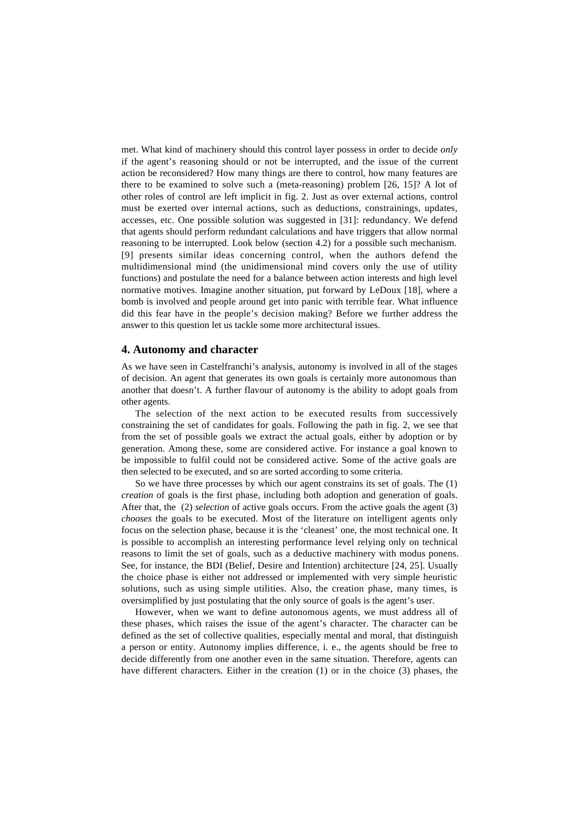met. What kind of machinery should this control layer possess in order to decide *only* if the agent's reasoning should or not be interrupted, and the issue of the current action be reconsidered? How many things are there to control, how many features are there to be examined to solve such a (meta-reasoning) problem [26, 15]? A lot of other roles of control are left implicit in fig. 2. Just as over external actions, control must be exerted over internal actions, such as deductions, constrainings, updates, accesses, etc. One possible solution was suggested in [31]: redundancy. We defend that agents should perform redundant calculations and have triggers that allow normal reasoning to be interrupted. Look below (section 4.2) for a possible such mechanism. [9] presents similar ideas concerning control, when the authors defend the multidimensional mind (the unidimensional mind covers only the use of utility functions) and postulate the need for a balance between action interests and high level normative motives. Imagine another situation, put forward by LeDoux [18], where a bomb is involved and people around get into panic with terrible fear. What influence did this fear have in the people's decision making? Before we further address the answer to this question let us tackle some more architectural issues.

# **4. Autonomy and character**

As we have seen in Castelfranchi's analysis, autonomy is involved in all of the stages of decision. An agent that generates its own goals is certainly more autonomous than another that doesn't. A further flavour of autonomy is the ability to adopt goals from other agents.

The selection of the next action to be executed results from successively constraining the set of candidates for goals. Following the path in fig. 2, we see that from the set of possible goals we extract the actual goals, either by adoption or by generation. Among these, some are considered active. For instance a goal known to be impossible to fulfil could not be considered active. Some of the active goals are then selected to be executed, and so are sorted according to some criteria.

So we have three processes by which our agent constrains its set of goals. The (1) *creation* of goals is the first phase, including both adoption and generation of goals. After that, the (2) *selection* of active goals occurs. From the active goals the agent (3) *chooses* the goals to be executed. Most of the literature on intelligent agents only focus on the selection phase, because it is the 'cleanest' one, the most technical one. It is possible to accomplish an interesting performance level relying only on technical reasons to limit the set of goals, such as a deductive machinery with modus ponens. See, for instance, the BDI (Belief, Desire and Intention) architecture [24, 25]. Usually the choice phase is either not addressed or implemented with very simple heuristic solutions, such as using simple utilities. Also, the creation phase, many times, is oversimplified by just postulating that the only source of goals is the agent's user.

However, when we want to define autonomous agents, we must address all of these phases, which raises the issue of the agent's character. The character can be defined as the set of collective qualities, especially mental and moral, that distinguish a person or entity. Autonomy implies difference, i. e., the agents should be free to decide differently from one another even in the same situation. Therefore, agents can have different characters. Either in the creation (1) or in the choice (3) phases, the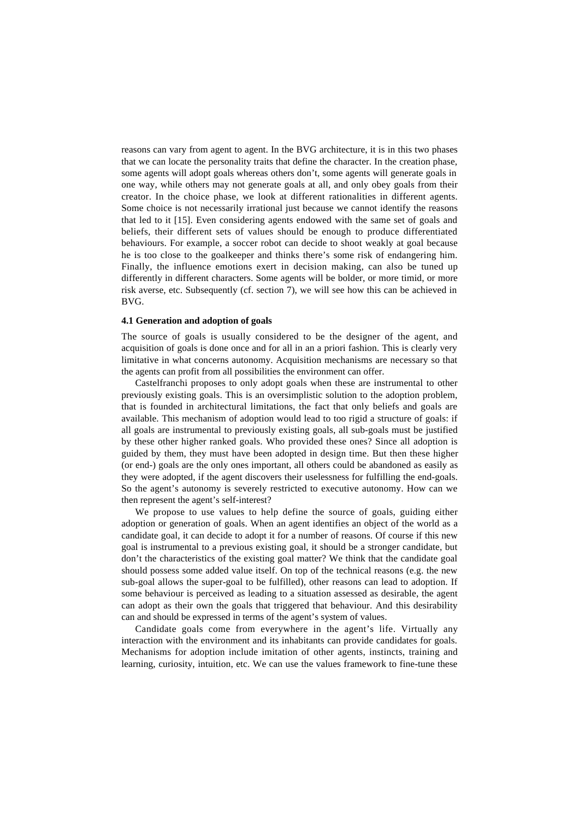reasons can vary from agent to agent. In the BVG architecture, it is in this two phases that we can locate the personality traits that define the character. In the creation phase, some agents will adopt goals whereas others don't, some agents will generate goals in one way, while others may not generate goals at all, and only obey goals from their creator. In the choice phase, we look at different rationalities in different agents. Some choice is not necessarily irrational just because we cannot identify the reasons that led to it [15]. Even considering agents endowed with the same set of goals and beliefs, their different sets of values should be enough to produce differentiated behaviours. For example, a soccer robot can decide to shoot weakly at goal because he is too close to the goalkeeper and thinks there's some risk of endangering him. Finally, the influence emotions exert in decision making, can also be tuned up differently in different characters. Some agents will be bolder, or more timid, or more risk averse, etc. Subsequently (cf. section 7), we will see how this can be achieved in BVG.

#### **4.1 Generation and adoption of goals**

The source of goals is usually considered to be the designer of the agent, and acquisition of goals is done once and for all in an a priori fashion. This is clearly very limitative in what concerns autonomy. Acquisition mechanisms are necessary so that the agents can profit from all possibilities the environment can offer.

Castelfranchi proposes to only adopt goals when these are instrumental to other previously existing goals. This is an oversimplistic solution to the adoption problem, that is founded in architectural limitations, the fact that only beliefs and goals are available. This mechanism of adoption would lead to too rigid a structure of goals: if all goals are instrumental to previously existing goals, all sub-goals must be justified by these other higher ranked goals. Who provided these ones? Since all adoption is guided by them, they must have been adopted in design time. But then these higher (or end-) goals are the only ones important, all others could be abandoned as easily as they were adopted, if the agent discovers their uselessness for fulfilling the end-goals. So the agent's autonomy is severely restricted to executive autonomy. How can we then represent the agent's self-interest?

We propose to use values to help define the source of goals, guiding either adoption or generation of goals. When an agent identifies an object of the world as a candidate goal, it can decide to adopt it for a number of reasons. Of course if this new goal is instrumental to a previous existing goal, it should be a stronger candidate, but don't the characteristics of the existing goal matter? We think that the candidate goal should possess some added value itself. On top of the technical reasons (e.g. the new sub-goal allows the super-goal to be fulfilled), other reasons can lead to adoption. If some behaviour is perceived as leading to a situation assessed as desirable, the agent can adopt as their own the goals that triggered that behaviour. And this desirability can and should be expressed in terms of the agent's system of values.

Candidate goals come from everywhere in the agent's life. Virtually any interaction with the environment and its inhabitants can provide candidates for goals. Mechanisms for adoption include imitation of other agents, instincts, training and learning, curiosity, intuition, etc. We can use the values framework to fine-tune these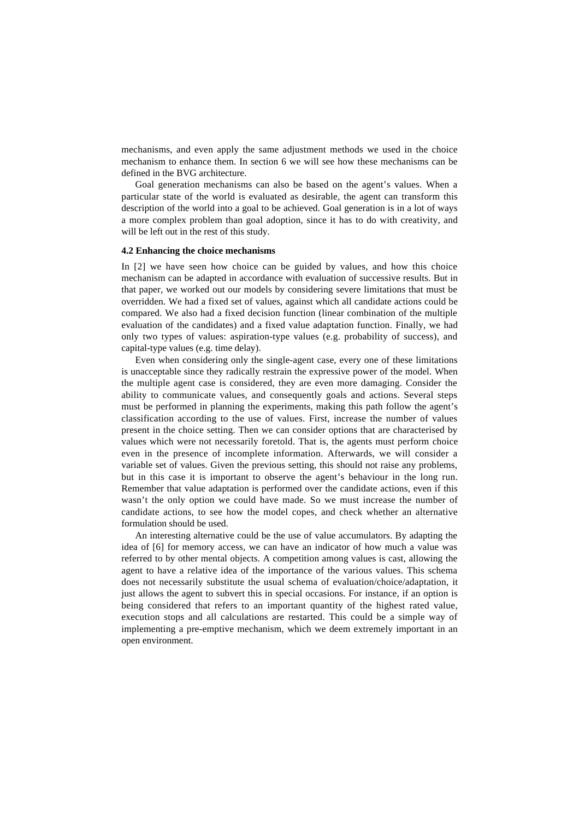mechanisms, and even apply the same adjustment methods we used in the choice mechanism to enhance them. In section 6 we will see how these mechanisms can be defined in the BVG architecture.

Goal generation mechanisms can also be based on the agent's values. When a particular state of the world is evaluated as desirable, the agent can transform this description of the world into a goal to be achieved. Goal generation is in a lot of ways a more complex problem than goal adoption, since it has to do with creativity, and will be left out in the rest of this study.

### **4.2 Enhancing the choice mechanisms**

In [2] we have seen how choice can be guided by values, and how this choice mechanism can be adapted in accordance with evaluation of successive results. But in that paper, we worked out our models by considering severe limitations that must be overridden. We had a fixed set of values, against which all candidate actions could be compared. We also had a fixed decision function (linear combination of the multiple evaluation of the candidates) and a fixed value adaptation function. Finally, we had only two types of values: aspiration-type values (e.g. probability of success), and capital-type values (e.g. time delay).

Even when considering only the single-agent case, every one of these limitations is unacceptable since they radically restrain the expressive power of the model. When the multiple agent case is considered, they are even more damaging. Consider the ability to communicate values, and consequently goals and actions. Several steps must be performed in planning the experiments, making this path follow the agent's classification according to the use of values. First, increase the number of values present in the choice setting. Then we can consider options that are characterised by values which were not necessarily foretold. That is, the agents must perform choice even in the presence of incomplete information. Afterwards, we will consider a variable set of values. Given the previous setting, this should not raise any problems, but in this case it is important to observe the agent's behaviour in the long run. Remember that value adaptation is performed over the candidate actions, even if this wasn't the only option we could have made. So we must increase the number of candidate actions, to see how the model copes, and check whether an alternative formulation should be used.

An interesting alternative could be the use of value accumulators. By adapting the idea of [6] for memory access, we can have an indicator of how much a value was referred to by other mental objects. A competition among values is cast, allowing the agent to have a relative idea of the importance of the various values. This schema does not necessarily substitute the usual schema of evaluation/choice/adaptation, it just allows the agent to subvert this in special occasions. For instance, if an option is being considered that refers to an important quantity of the highest rated value, execution stops and all calculations are restarted. This could be a simple way of implementing a pre-emptive mechanism, which we deem extremely important in an open environment.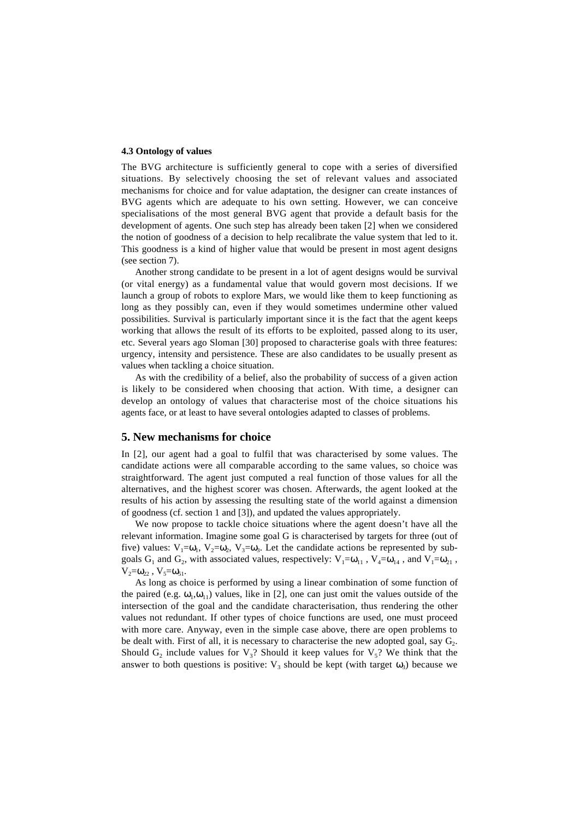#### **4.3 Ontology of values**

The BVG architecture is sufficiently general to cope with a series of diversified situations. By selectively choosing the set of relevant values and associated mechanisms for choice and for value adaptation, the designer can create instances of BVG agents which are adequate to his own setting. However, we can conceive specialisations of the most general BVG agent that provide a default basis for the development of agents. One such step has already been taken [2] when we considered the notion of goodness of a decision to help recalibrate the value system that led to it. This goodness is a kind of higher value that would be present in most agent designs (see section 7).

Another strong candidate to be present in a lot of agent designs would be survival (or vital energy) as a fundamental value that would govern most decisions. If we launch a group of robots to explore Mars, we would like them to keep functioning as long as they possibly can, even if they would sometimes undermine other valued possibilities. Survival is particularly important since it is the fact that the agent keeps working that allows the result of its efforts to be exploited, passed along to its user, etc. Several years ago Sloman [30] proposed to characterise goals with three features: urgency, intensity and persistence. These are also candidates to be usually present as values when tackling a choice situation.

As with the credibility of a belief, also the probability of success of a given action is likely to be considered when choosing that action. With time, a designer can develop an ontology of values that characterise most of the choice situations his agents face, or at least to have several ontologies adapted to classes of problems.

## **5. New mechanisms for choice**

In [2], our agent had a goal to fulfil that was characterised by some values. The candidate actions were all comparable according to the same values, so choice was straightforward. The agent just computed a real function of those values for all the alternatives, and the highest scorer was chosen. Afterwards, the agent looked at the results of his action by assessing the resulting state of the world against a dimension of goodness (cf. section 1 and [3]), and updated the values appropriately.

We now propose to tackle choice situations where the agent doesn't have all the relevant information. Imagine some goal G is characterised by targets for three (out of five) values:  $V_1=ω_1$ ,  $V_2=ω_2$ ,  $V_3=ω_3$ . Let the candidate actions be represented by subgoals G<sub>1</sub> and G<sub>2</sub>, with associated values, respectively:  $V_1=ω_{11}$ ,  $V_4=ω_{14}$ , and  $V_1=ω_{21}$ ,  $V_2 = \omega_{22}$ ,  $V_5 = \omega_{51}$ .

As long as choice is performed by using a linear combination of some function of the paired (e.g.  $\omega_1, \omega_1$ ) values, like in [2], one can just omit the values outside of the intersection of the goal and the candidate characterisation, thus rendering the other values not redundant. If other types of choice functions are used, one must proceed with more care. Anyway, even in the simple case above, there are open problems to be dealt with. First of all, it is necessary to characterise the new adopted goal, say  $G<sub>2</sub>$ . Should G<sub>2</sub> include values for  $V_3$ ? Should it keep values for  $V_5$ ? We think that the answer to both questions is positive:  $V_3$  should be kept (with target  $\omega_3$ ) because we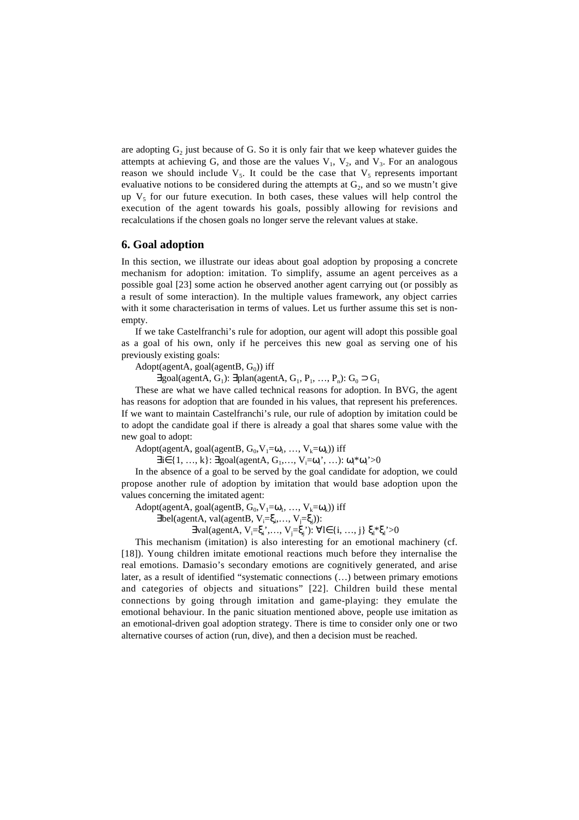are adopting  $G<sub>2</sub>$  just because of G. So it is only fair that we keep whatever guides the attempts at achieving G, and those are the values  $V_1$ ,  $V_2$ , and  $V_3$ . For an analogous reason we should include  $V_5$ . It could be the case that  $V_5$  represents important evaluative notions to be considered during the attempts at  $G_2$ , and so we mustn't give up  $V_5$  for our future execution. In both cases, these values will help control the execution of the agent towards his goals, possibly allowing for revisions and recalculations if the chosen goals no longer serve the relevant values at stake.

### **6. Goal adoption**

In this section, we illustrate our ideas about goal adoption by proposing a concrete mechanism for adoption: imitation. To simplify, assume an agent perceives as a possible goal [23] some action he observed another agent carrying out (or possibly as a result of some interaction). In the multiple values framework, any object carries with it some characterisation in terms of values. Let us further assume this set is nonempty.

If we take Castelfranchi's rule for adoption, our agent will adopt this possible goal as a goal of his own, only if he perceives this new goal as serving one of his previously existing goals:

Adopt(agentA, goal(agentB,  $G_0$ )) iff

 $\exists$ goal(agentA, G<sub>1</sub>):  $\exists$ plan(agentA, G<sub>1</sub>, P<sub>1</sub>, ..., P<sub>n</sub>): G<sub>0</sub>  $\supset$  G<sub>1</sub>

These are what we have called technical reasons for adoption. In BVG, the agent has reasons for adoption that are founded in his values, that represent his preferences. If we want to maintain Castelfranchi's rule, our rule of adoption by imitation could be to adopt the candidate goal if there is already a goal that shares some value with the new goal to adopt:

Adopt(agentA, goal(agentB,  $G_0, V_1 = \omega_1, ..., V_k = \omega_k$ )) iff

 $\exists i \in \{1, ..., k\}$ : ∃goal(agentA, G<sub>1</sub>,..., V<sub>i</sub>=ω<sub>i</sub>', ...): ω<sub>i</sub>\*ω<sub>i</sub>'>0

In the absence of a goal to be served by the goal candidate for adoption, we could propose another rule of adoption by imitation that would base adoption upon the values concerning the imitated agent:

Adopt(agentA, goal(agentB,  $G_0, V_1 = \omega_1, ..., V_k = \omega_k$ )) iff

 $\exists$ bel(agentA, val(agentB, V<sub>i</sub>= $\xi_i$ ,..., V<sub>j</sub>= $\xi_j$ )):

∃val(agentΑ, V<sub>i</sub>=ξ<sub>i</sub>',..., V<sub>j</sub>=ξ<sub>j</sub>'): ∀l∈ {i, ..., j} ξ<sub>l</sub>\*ξ<sub>l</sub>'>0

This mechanism (imitation) is also interesting for an emotional machinery (cf. [18]). Young children imitate emotional reactions much before they internalise the real emotions. Damasio's secondary emotions are cognitively generated, and arise later, as a result of identified "systematic connections (…) between primary emotions and categories of objects and situations" [22]. Children build these mental connections by going through imitation and game-playing: they emulate the emotional behaviour. In the panic situation mentioned above, people use imitation as an emotional-driven goal adoption strategy. There is time to consider only one or two alternative courses of action (run, dive), and then a decision must be reached.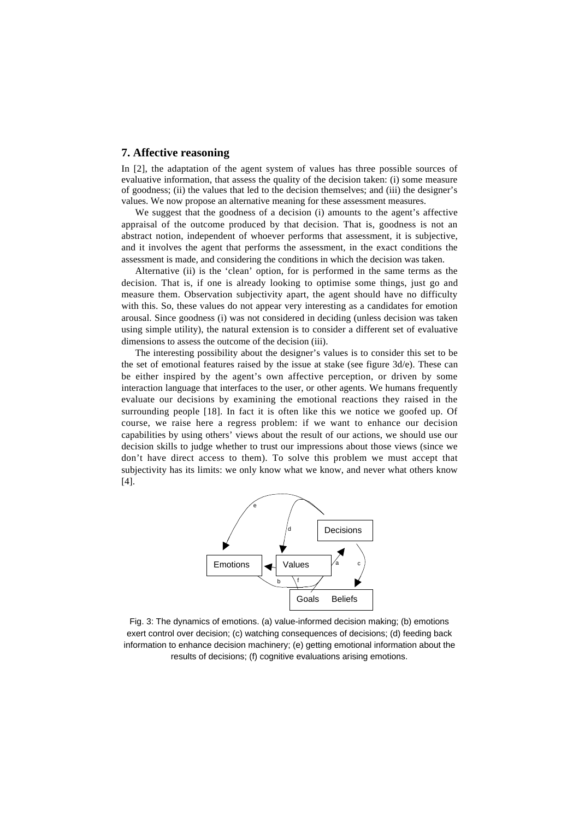# **7. Affective reasoning**

In [2], the adaptation of the agent system of values has three possible sources of evaluative information, that assess the quality of the decision taken: (i) some measure of goodness; (ii) the values that led to the decision themselves; and (iii) the designer's values. We now propose an alternative meaning for these assessment measures.

We suggest that the goodness of a decision (i) amounts to the agent's affective appraisal of the outcome produced by that decision. That is, goodness is not an abstract notion, independent of whoever performs that assessment, it is subjective, and it involves the agent that performs the assessment, in the exact conditions the assessment is made, and considering the conditions in which the decision was taken.

Alternative (ii) is the 'clean' option, for is performed in the same terms as the decision. That is, if one is already looking to optimise some things, just go and measure them. Observation subjectivity apart, the agent should have no difficulty with this. So, these values do not appear very interesting as a candidates for emotion arousal. Since goodness (i) was not considered in deciding (unless decision was taken using simple utility), the natural extension is to consider a different set of evaluative dimensions to assess the outcome of the decision (iii).

The interesting possibility about the designer's values is to consider this set to be the set of emotional features raised by the issue at stake (see figure 3d/e). These can be either inspired by the agent's own affective perception, or driven by some interaction language that interfaces to the user, or other agents. We humans frequently evaluate our decisions by examining the emotional reactions they raised in the surrounding people [18]. In fact it is often like this we notice we goofed up. Of course, we raise here a regress problem: if we want to enhance our decision capabilities by using others' views about the result of our actions, we should use our decision skills to judge whether to trust our impressions about those views (since we don't have direct access to them). To solve this problem we must accept that subjectivity has its limits: we only know what we know, and never what others know [4].



Fig. 3: The dynamics of emotions. (a) value-informed decision making; (b) emotions exert control over decision; (c) watching consequences of decisions; (d) feeding back information to enhance decision machinery; (e) getting emotional information about the results of decisions; (f) cognitive evaluations arising emotions.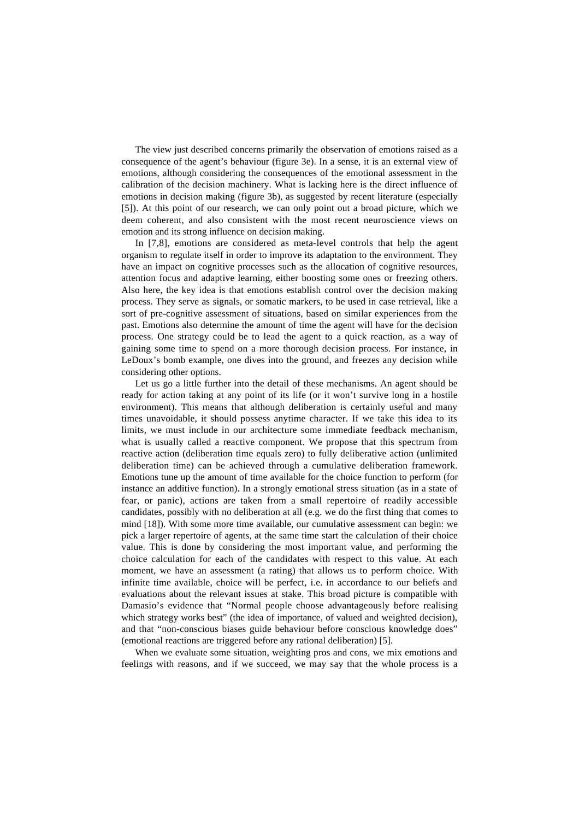The view just described concerns primarily the observation of emotions raised as a consequence of the agent's behaviour (figure 3e). In a sense, it is an external view of emotions, although considering the consequences of the emotional assessment in the calibration of the decision machinery. What is lacking here is the direct influence of emotions in decision making (figure 3b), as suggested by recent literature (especially [5]). At this point of our research, we can only point out a broad picture, which we deem coherent, and also consistent with the most recent neuroscience views on emotion and its strong influence on decision making.

In [7,8], emotions are considered as meta-level controls that help the agent organism to regulate itself in order to improve its adaptation to the environment. They have an impact on cognitive processes such as the allocation of cognitive resources, attention focus and adaptive learning, either boosting some ones or freezing others. Also here, the key idea is that emotions establish control over the decision making process. They serve as signals, or somatic markers, to be used in case retrieval, like a sort of pre-cognitive assessment of situations, based on similar experiences from the past. Emotions also determine the amount of time the agent will have for the decision process. One strategy could be to lead the agent to a quick reaction, as a way of gaining some time to spend on a more thorough decision process. For instance, in LeDoux's bomb example, one dives into the ground, and freezes any decision while considering other options.

Let us go a little further into the detail of these mechanisms. An agent should be ready for action taking at any point of its life (or it won't survive long in a hostile environment). This means that although deliberation is certainly useful and many times unavoidable, it should possess anytime character. If we take this idea to its limits, we must include in our architecture some immediate feedback mechanism, what is usually called a reactive component. We propose that this spectrum from reactive action (deliberation time equals zero) to fully deliberative action (unlimited deliberation time) can be achieved through a cumulative deliberation framework. Emotions tune up the amount of time available for the choice function to perform (for instance an additive function). In a strongly emotional stress situation (as in a state of fear, or panic), actions are taken from a small repertoire of readily accessible candidates, possibly with no deliberation at all (e.g. we do the first thing that comes to mind [18]). With some more time available, our cumulative assessment can begin: we pick a larger repertoire of agents, at the same time start the calculation of their choice value. This is done by considering the most important value, and performing the choice calculation for each of the candidates with respect to this value. At each moment, we have an assessment (a rating) that allows us to perform choice. With infinite time available, choice will be perfect, i.e. in accordance to our beliefs and evaluations about the relevant issues at stake. This broad picture is compatible with Damasio's evidence that "Normal people choose advantageously before realising which strategy works best" (the idea of importance, of valued and weighted decision), and that "non-conscious biases guide behaviour before conscious knowledge does" (emotional reactions are triggered before any rational deliberation) [5].

When we evaluate some situation, weighting pros and cons, we mix emotions and feelings with reasons, and if we succeed, we may say that the whole process is a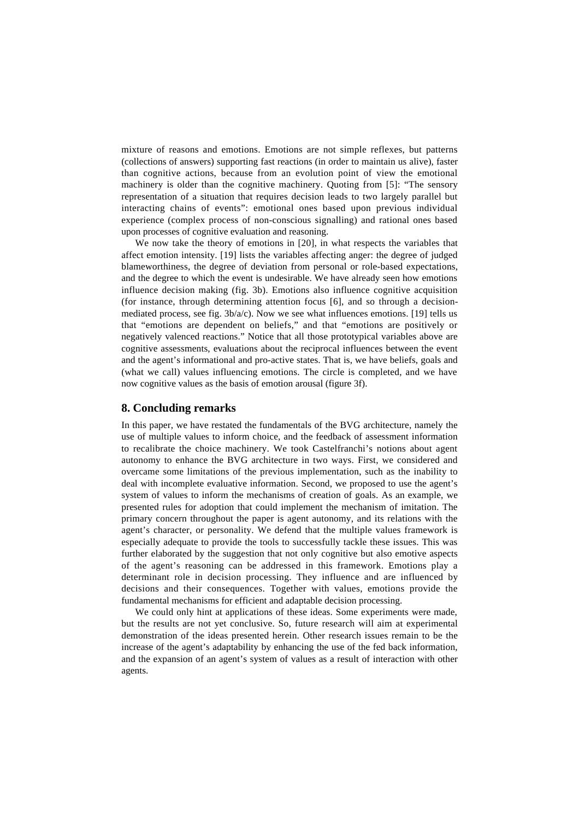mixture of reasons and emotions. Emotions are not simple reflexes, but patterns (collections of answers) supporting fast reactions (in order to maintain us alive), faster than cognitive actions, because from an evolution point of view the emotional machinery is older than the cognitive machinery. Quoting from [5]: "The sensory representation of a situation that requires decision leads to two largely parallel but interacting chains of events": emotional ones based upon previous individual experience (complex process of non-conscious signalling) and rational ones based upon processes of cognitive evaluation and reasoning.

We now take the theory of emotions in [20], in what respects the variables that affect emotion intensity. [19] lists the variables affecting anger: the degree of judged blameworthiness, the degree of deviation from personal or role-based expectations, and the degree to which the event is undesirable. We have already seen how emotions influence decision making (fig. 3b). Emotions also influence cognitive acquisition (for instance, through determining attention focus [6], and so through a decisionmediated process, see fig. 3b/a/c). Now we see what influences emotions. [19] tells us that "emotions are dependent on beliefs," and that "emotions are positively or negatively valenced reactions." Notice that all those prototypical variables above are cognitive assessments, evaluations about the reciprocal influences between the event and the agent's informational and pro-active states. That is, we have beliefs, goals and (what we call) values influencing emotions. The circle is completed, and we have now cognitive values as the basis of emotion arousal (figure 3f).

# **8. Concluding remarks**

In this paper, we have restated the fundamentals of the BVG architecture, namely the use of multiple values to inform choice, and the feedback of assessment information to recalibrate the choice machinery. We took Castelfranchi's notions about agent autonomy to enhance the BVG architecture in two ways. First, we considered and overcame some limitations of the previous implementation, such as the inability to deal with incomplete evaluative information. Second, we proposed to use the agent's system of values to inform the mechanisms of creation of goals. As an example, we presented rules for adoption that could implement the mechanism of imitation. The primary concern throughout the paper is agent autonomy, and its relations with the agent's character, or personality. We defend that the multiple values framework is especially adequate to provide the tools to successfully tackle these issues. This was further elaborated by the suggestion that not only cognitive but also emotive aspects of the agent's reasoning can be addressed in this framework. Emotions play a determinant role in decision processing. They influence and are influenced by decisions and their consequences. Together with values, emotions provide the fundamental mechanisms for efficient and adaptable decision processing.

We could only hint at applications of these ideas. Some experiments were made, but the results are not yet conclusive. So, future research will aim at experimental demonstration of the ideas presented herein. Other research issues remain to be the increase of the agent's adaptability by enhancing the use of the fed back information, and the expansion of an agent's system of values as a result of interaction with other agents.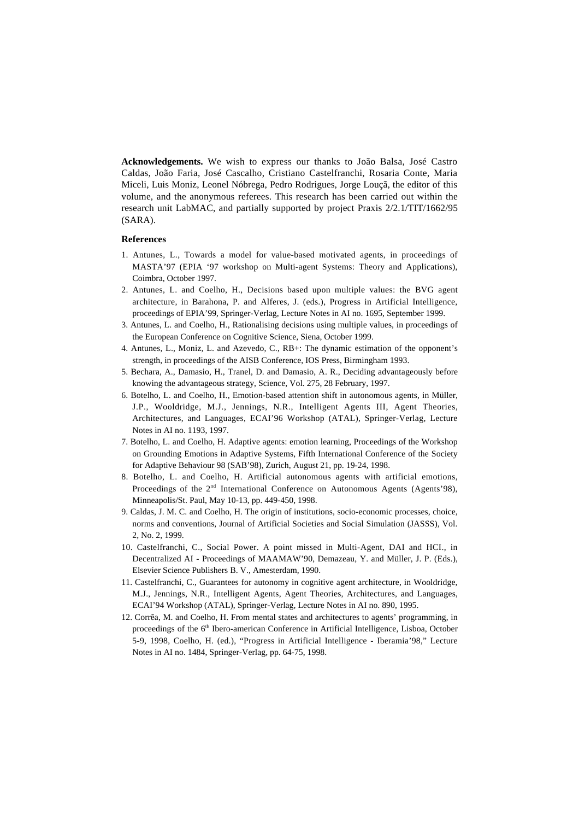**Acknowledgements.** We wish to express our thanks to João Balsa, José Castro Caldas, João Faria, José Cascalho, Cristiano Castelfranchi, Rosaria Conte, Maria Miceli, Luis Moniz, Leonel Nóbrega, Pedro Rodrigues, Jorge Louçã, the editor of this volume, and the anonymous referees. This research has been carried out within the research unit LabMAC, and partially supported by project Praxis 2/2.1/TIT/1662/95 (SARA).

#### **References**

- 1. Antunes, L., Towards a model for value-based motivated agents, in proceedings of MASTA'97 (EPIA '97 workshop on Multi-agent Systems: Theory and Applications), Coimbra, October 1997.
- 2. Antunes, L. and Coelho, H., Decisions based upon multiple values: the BVG agent architecture, in Barahona, P. and Alferes, J. (eds.), Progress in Artificial Intelligence, proceedings of EPIA'99, Springer-Verlag, Lecture Notes in AI no. 1695, September 1999.
- 3. Antunes, L. and Coelho, H., Rationalising decisions using multiple values, in proceedings of the European Conference on Cognitive Science, Siena, October 1999.
- 4. Antunes, L., Moniz, L. and Azevedo, C., RB+: The dynamic estimation of the opponent's strength, in proceedings of the AISB Conference, IOS Press, Birmingham 1993.
- 5. Bechara, A., Damasio, H., Tranel, D. and Damasio, A. R., Deciding advantageously before knowing the advantageous strategy, Science, Vol. 275, 28 February, 1997.
- 6. Botelho, L. and Coelho, H., Emotion-based attention shift in autonomous agents, in Müller, J.P., Wooldridge, M.J., Jennings, N.R., Intelligent Agents III, Agent Theories, Architectures, and Languages, ECAI'96 Workshop (ATAL), Springer-Verlag, Lecture Notes in AI no. 1193, 1997.
- 7. Botelho, L. and Coelho, H. Adaptive agents: emotion learning, Proceedings of the Workshop on Grounding Emotions in Adaptive Systems, Fifth International Conference of the Society for Adaptive Behaviour 98 (SAB'98), Zurich, August 21, pp. 19-24, 1998.
- 8. Botelho, L. and Coelho, H. Artificial autonomous agents with artificial emotions, Proceedings of the 2<sup>nd</sup> International Conference on Autonomous Agents (Agents'98), Minneapolis/St. Paul, May 10-13, pp. 449-450, 1998.
- 9. Caldas, J. M. C. and Coelho, H. The origin of institutions, socio-economic processes, choice, norms and conventions, Journal of Artificial Societies and Social Simulation (JASSS), Vol. 2, No. 2, 1999.
- 10. Castelfranchi, C., Social Power. A point missed in Multi-Agent, DAI and HCI., in Decentralized AI - Proceedings of MAAMAW'90, Demazeau, Y. and Müller, J. P. (Eds.), Elsevier Science Publishers B. V., Amesterdam, 1990.
- 11. Castelfranchi, C., Guarantees for autonomy in cognitive agent architecture, in Wooldridge, M.J., Jennings, N.R., Intelligent Agents, Agent Theories, Architectures, and Languages, ECAI'94 Workshop (ATAL), Springer-Verlag, Lecture Notes in AI no. 890, 1995.
- 12. Corrêa, M. and Coelho, H. From mental states and architectures to agents' programming, in proceedings of the 6th Ibero-american Conference in Artificial Intelligence, Lisboa, October 5-9, 1998, Coelho, H. (ed.), "Progress in Artificial Intelligence - Iberamia'98," Lecture Notes in AI no. 1484, Springer-Verlag, pp. 64-75, 1998.